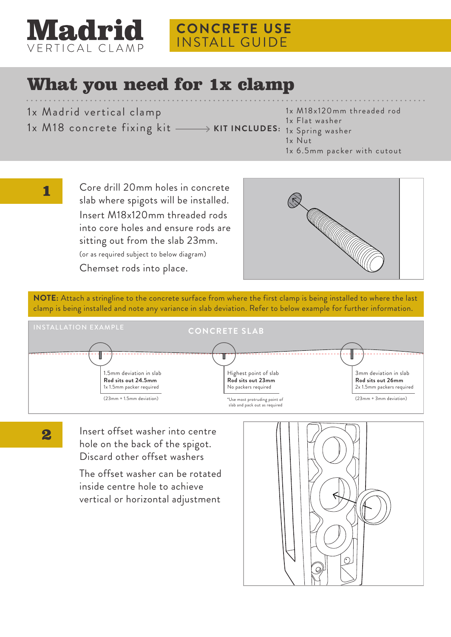

## **CONCRETE USE** INSTALL GUIDE

## What you need for 1x clamp

- 1x Madrid vertical clamp
- 1x M18 concrete fixing kit
- 1x M18x120mm threaded rod
- 1x Flat washer
- **KIT INCLUDES:** 1x Spring washer
	- 1x Nut
	- 1x 6.5mm packer with cutout
- Core drill 20mm holes in concrete  $\blacksquare$ slab where spigots will be installed. Insert M18x120mm threaded rods into core holes and ensure rods are sitting out from the slab 23mm. (or as required subject to below diagram) Chemset rods into place.



**NOTE:** Attach a stringline to the concrete surface from where the first clamp is being installed to where the last clamp is being installed and note any variance in slab deviation. Refer to below example for further information.



2

Insert offset washer into centre hole on the back of the spigot. Discard other offset washers

The offset washer can be rotated inside centre hole to achieve vertical or horizontal adjustment